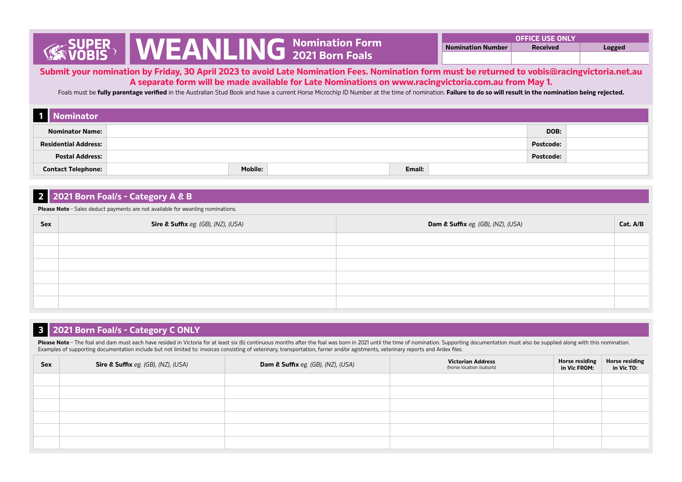**Submit your nomination by Friday, 30 April 2023 to avoid Late Nomination Fees. Nomination form must be returned to vobis@racingvictoria.net.au A separate form will be made available for Late Nominations on www.racingvictoria.com.au from May 1.**

Foals must be **fully parentage verified** in the Australian Stud Book and have a current Horse Microchip ID Number at the time of nomination. **Failure to do so will result in the nomination being rejected.**

| Nominator                   |                                 |  |
|-----------------------------|---------------------------------|--|
| <b>Nominator Name:</b>      | DOB:                            |  |
| <b>Residential Address:</b> | <b>Postcode:</b>                |  |
| <b>Postal Address:</b>      | <b>Postcode:</b>                |  |
| <b>Contact Telephone:</b>   | <b>Mobile:</b><br><b>Email:</b> |  |

## **2 2021 Born Foal/s - Category A & B**

**Please Note** - Sales deduct payments are not available for weanling nominations.

| <b>Sex</b> | <b>Sire &amp; Suffix</b> eg. (GB), (NZ), (USA) | <b>Dam &amp; Suffix</b> eg. (GB), (NZ), (USA) | Cat. A/B |
|------------|------------------------------------------------|-----------------------------------------------|----------|
|            |                                                |                                               |          |
|            |                                                |                                               |          |
|            |                                                |                                               |          |
|            |                                                |                                               |          |
|            |                                                |                                               |          |
|            |                                                |                                               |          |

# **3 2021 Born Foal/s - Category C ONLY**

Please Note - The foal and dam must each have resided in Victoria for at least six (6) continuous months after the foal was born in 2021 until the time of nomination. Supporting documentation must also be supplied along wi Examples of supporting documentation include but not limited to: invoices consisting of veterinary, transportation, farrier and/or agistments, veterinary reports and Ardex files.

| Sex | <b>Sire &amp; Suffix</b> eg. (GB), (NZ), (USA) | <b>Dam &amp; Suffix</b> eg. (GB), (NZ), (USA) | <b>Victorian Address</b><br>(horse location (suburb) | Horse residing<br>in Vic FROM: | Horse residing<br>in Vic TO: |
|-----|------------------------------------------------|-----------------------------------------------|------------------------------------------------------|--------------------------------|------------------------------|
|     |                                                |                                               |                                                      |                                |                              |
|     |                                                |                                               |                                                      |                                |                              |
|     |                                                |                                               |                                                      |                                |                              |
|     |                                                |                                               |                                                      |                                |                              |
|     |                                                |                                               |                                                      |                                |                              |
|     |                                                |                                               |                                                      |                                |                              |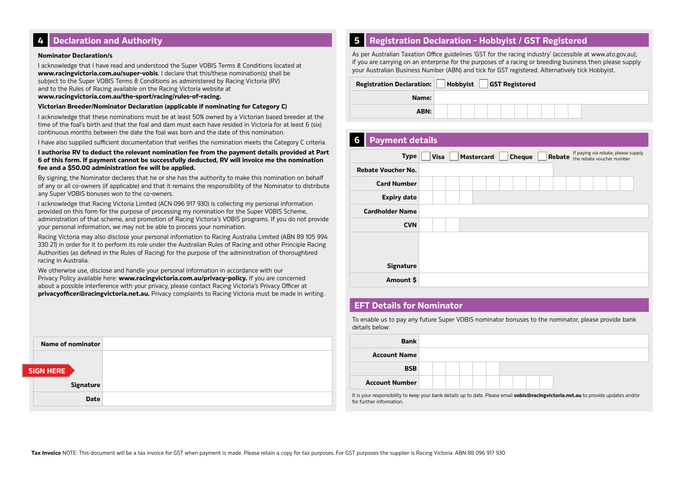# **4 Declaration and Authority**

#### **Nominator Declaration/s**

I acknowledge that I have read and understood the Super VOBIS Terms & Conditions located at **www.racingvictoria.com.au/super-vobis**. I declare that this/these nomination(s) shall be subject to the Super VOBIS Terms & Conditions as administered by Racing Victoria (RV) and to the Rules of Racing available on the Racing Victoria website at

**www.racingvictoria.com.au/the-sport/racing/rules-of-racing.**

#### **Victorian Breeder/Nominator Declaration (applicable if nominating for Category C)**

I acknowledge that these nominations must be at least 50% owned by a Victorian based breeder at the time of the foal's birth and that the foal and dam must each have resided in Victoria for at least 6 (six) continuous months between the date the foal was born and the date of this nomination.

I have also supplied sufficient documentation that verifies the nomination meets the Category C criteria.

**I authorise RV to deduct the relevant nomination fee from the payment details provided at Part 6 of this form. If payment cannot be successfully deducted, RV will invoice me the nomination fee and a \$50.00 administration fee will be applied.**

By signing, the Nominator declares that he or she has the authority to make this nomination on behalf of any or all co-owners (if applicable) and that it remains the responsibility of the Nominator to distribute any Super VOBIS bonuses won to the co-owners.

I acknowledge that Racing Victoria Limited (ACN 096 917 930) is collecting my personal information provided on this form for the purpose of processing my nomination for the Super VOBIS Scheme, administration of that scheme, and promotion of Racing Victoria's VOBIS programs. If you do not provide your personal information, we may not be able to process your nomination.

Racing Victoria may also disclose your personal information to Racing Australia Limited (ABN 89 105 994 330 21) in order for it to perform its role under the Australian Rules of Racing and other Principle Racing Authorities (as defined in the Rules of Racing) for the purpose of the administration of thoroughbred racing in Australia.

We otherwise use, disclose and handle your personal information in accordance with our Privacy Policy available here: **www.racingvictoria.com.au/privacy-policy.** If you are concerned about a possible interference with your privacy, please contact Racing Victoria's Privacy Officer at **privacyofficer@racingvictoria.net.au.** Privacy complaints to Racing Victoria must be made in writing.

|                  | <b>Name of nominator</b> |
|------------------|--------------------------|
|                  |                          |
|                  |                          |
| <b>SIGN HERE</b> |                          |
|                  | <b>Signature</b>         |
|                  | <b>Date</b>              |

## **5 Registration Declaration - Hobbyist / GST Registered**

As per Australian Taxation Office guidelines 'GST for the racing industry' (accessible at www.ato.gov.au); if you are carrying on an enterprise for the purposes of a racing or breeding business then please supply your Australian Business Number (ABN) and tick for GST registered. Alternatively tick Hobbyist.

| <b>Registration Declaration:</b> | Hobbyist |  | <b>GST Registered</b> |  |  |  |  |
|----------------------------------|----------|--|-----------------------|--|--|--|--|
| Name:                            |          |  |                       |  |  |  |  |
| ABN:                             |          |  |                       |  |  |  |  |

| 6 | <b>Payment details</b>    |                                                                                                                                 |
|---|---------------------------|---------------------------------------------------------------------------------------------------------------------------------|
|   | <b>Type</b>               | If paying via rebate, please supply<br>Rebate<br><b>Mastercard</b><br><b>Visa</b><br><b>Cheque</b><br>the rebate voucher number |
|   | <b>Rebate Voucher No.</b> |                                                                                                                                 |
|   | <b>Card Number</b>        |                                                                                                                                 |
|   | <b>Expiry date</b>        |                                                                                                                                 |
|   | <b>Cardholder Name</b>    |                                                                                                                                 |
|   | <b>CVN</b>                |                                                                                                                                 |
|   |                           |                                                                                                                                 |
|   |                           |                                                                                                                                 |
|   | <b>Signature</b>          |                                                                                                                                 |
|   | Amount \$                 |                                                                                                                                 |

## **EFT Details for Nominator**

To enable us to pay any future Super VOBIS nominator bonuses to the nominator, please provide bank details below:

| <b>Bank</b>           |  |  |  |  |  |
|-----------------------|--|--|--|--|--|
| <b>Account Name</b>   |  |  |  |  |  |
| <b>BSB</b>            |  |  |  |  |  |
| <b>Account Number</b> |  |  |  |  |  |

It is your responsibility to keep your bank details up to date. Please email **vobis@racingvictoria.net.au** to provide updates and/or for further information.